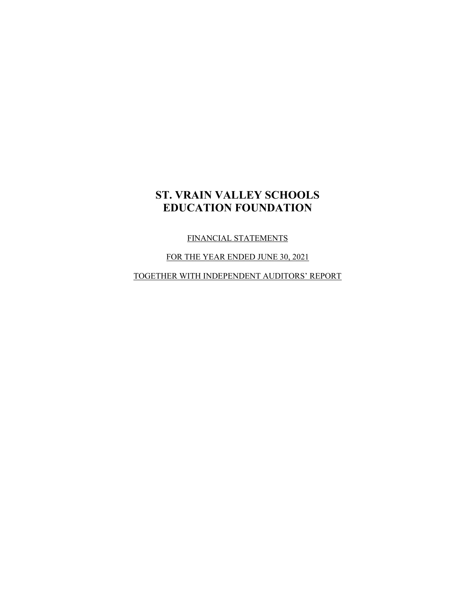FINANCIAL STATEMENTS

FOR THE YEAR ENDED JUNE 30, 2021

TOGETHER WITH INDEPENDENT AUDITORS' REPORT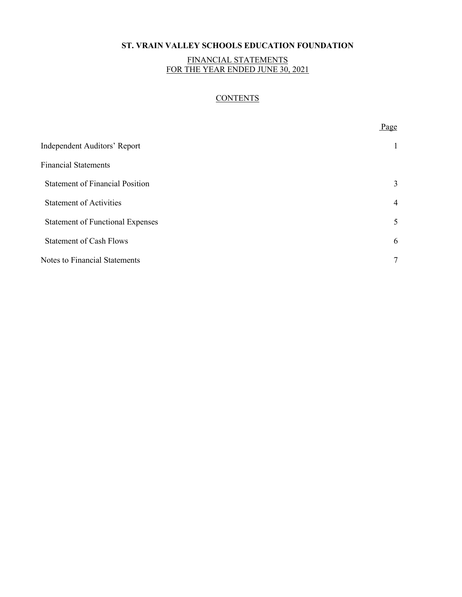## FINANCIAL STATEMENTS FOR THE YEAR ENDED JUNE 30, 2021

## **CONTENTS**

|                                         | Page           |
|-----------------------------------------|----------------|
| Independent Auditors' Report            | $\mathbf{1}$   |
| <b>Financial Statements</b>             |                |
| <b>Statement of Financial Position</b>  | 3              |
| <b>Statement of Activities</b>          | $\overline{4}$ |
| <b>Statement of Functional Expenses</b> | 5              |
| <b>Statement of Cash Flows</b>          | 6              |
| Notes to Financial Statements           | $\tau$         |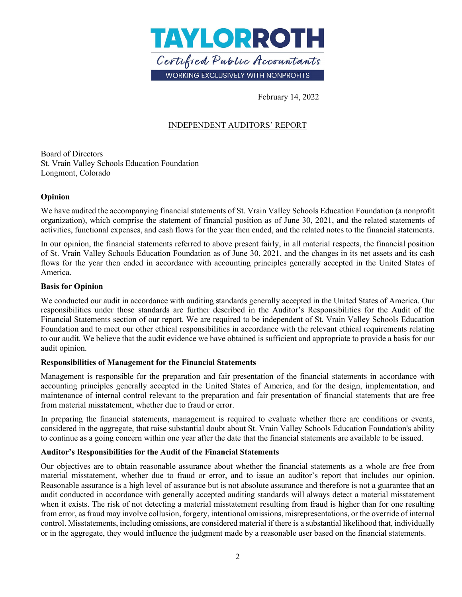

February 14, 2022

## INDEPENDENT AUDITORS' REPORT

Board of Directors St. Vrain Valley Schools Education Foundation Longmont, Colorado

## **Opinion**

We have audited the accompanying financial statements of St. Vrain Valley Schools Education Foundation (a nonprofit organization), which comprise the statement of financial position as of June 30, 2021, and the related statements of activities, functional expenses, and cash flows for the year then ended, and the related notes to the financial statements.

In our opinion, the financial statements referred to above present fairly, in all material respects, the financial position of St. Vrain Valley Schools Education Foundation as of June 30, 2021, and the changes in its net assets and its cash flows for the year then ended in accordance with accounting principles generally accepted in the United States of America.

## **Basis for Opinion**

We conducted our audit in accordance with auditing standards generally accepted in the United States of America. Our responsibilities under those standards are further described in the Auditor's Responsibilities for the Audit of the Financial Statements section of our report. We are required to be independent of St. Vrain Valley Schools Education Foundation and to meet our other ethical responsibilities in accordance with the relevant ethical requirements relating to our audit. We believe that the audit evidence we have obtained is sufficient and appropriate to provide a basis for our audit opinion.

## **Responsibilities of Management for the Financial Statements**

Management is responsible for the preparation and fair presentation of the financial statements in accordance with accounting principles generally accepted in the United States of America, and for the design, implementation, and maintenance of internal control relevant to the preparation and fair presentation of financial statements that are free from material misstatement, whether due to fraud or error.

In preparing the financial statements, management is required to evaluate whether there are conditions or events, considered in the aggregate, that raise substantial doubt about St. Vrain Valley Schools Education Foundation's ability to continue as a going concern within one year after the date that the financial statements are available to be issued.

## **Auditor's Responsibilities for the Audit of the Financial Statements**

Our objectives are to obtain reasonable assurance about whether the financial statements as a whole are free from material misstatement, whether due to fraud or error, and to issue an auditor's report that includes our opinion. Reasonable assurance is a high level of assurance but is not absolute assurance and therefore is not a guarantee that an audit conducted in accordance with generally accepted auditing standards will always detect a material misstatement when it exists. The risk of not detecting a material misstatement resulting from fraud is higher than for one resulting from error, as fraud may involve collusion, forgery, intentional omissions, misrepresentations, or the override of internal control. Misstatements, including omissions, are considered material if there is a substantial likelihood that, individually or in the aggregate, they would influence the judgment made by a reasonable user based on the financial statements.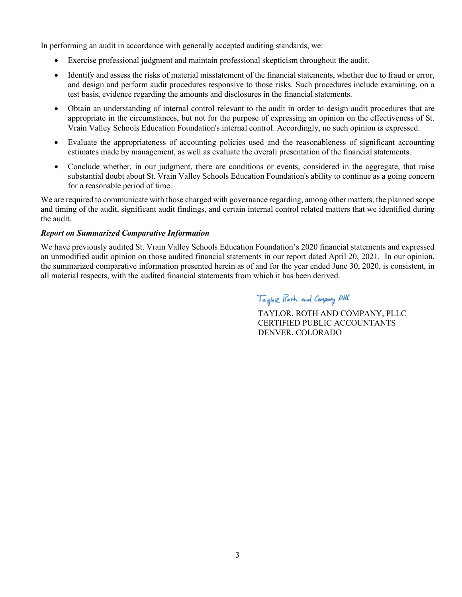In performing an audit in accordance with generally accepted auditing standards, we:

- Exercise professional judgment and maintain professional skepticism throughout the audit.
- Identify and assess the risks of material misstatement of the financial statements, whether due to fraud or error, and design and perform audit procedures responsive to those risks. Such procedures include examining, on a test basis, evidence regarding the amounts and disclosures in the financial statements.
- Obtain an understanding of internal control relevant to the audit in order to design audit procedures that are appropriate in the circumstances, but not for the purpose of expressing an opinion on the effectiveness of St. Vrain Valley Schools Education Foundation's internal control. Accordingly, no such opinion is expressed.
- Evaluate the appropriateness of accounting policies used and the reasonableness of significant accounting estimates made by management, as well as evaluate the overall presentation of the financial statements.
- Conclude whether, in our judgment, there are conditions or events, considered in the aggregate, that raise substantial doubt about St. Vrain Valley Schools Education Foundation's ability to continue as a going concern for a reasonable period of time.

We are required to communicate with those charged with governance regarding, among other matters, the planned scope and timing of the audit, significant audit findings, and certain internal control related matters that we identified during the audit.

## *Report on Summarized Comparative Information*

We have previously audited St. Vrain Valley Schools Education Foundation's 2020 financial statements and expressed an unmodified audit opinion on those audited financial statements in our report dated April 20, 2021. In our opinion, the summarized comparative information presented herein as of and for the year ended June 30, 2020, is consistent, in all material respects, with the audited financial statements from which it has been derived.

## Taylor Roth and Company PIK

TAYLOR, ROTH AND COMPANY, PLLC CERTIFIED PUBLIC ACCOUNTANTS DENVER, COLORADO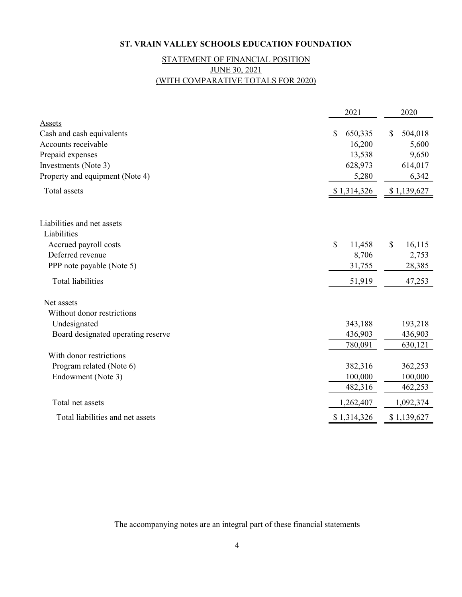## STATEMENT OF FINANCIAL POSITION JUNE 30, 2021 (WITH COMPARATIVE TOTALS FOR 2020)

|                                    | 2021          | 2020                    |
|------------------------------------|---------------|-------------------------|
| Assets                             |               |                         |
| Cash and cash equivalents          | 650,335<br>\$ | $\mathbb{S}$<br>504,018 |
| Accounts receivable                | 16,200        | 5,600                   |
| Prepaid expenses                   | 13,538        | 9,650                   |
| Investments (Note 3)               | 628,973       | 614,017                 |
| Property and equipment (Note 4)    | 5,280         | 6,342                   |
| Total assets                       | \$1,314,326   | \$1,139,627             |
| Liabilities and net assets         |               |                         |
| Liabilities                        |               |                         |
| Accrued payroll costs              | \$<br>11,458  | \$<br>16,115            |
| Deferred revenue                   | 8,706         | 2,753                   |
| PPP note payable (Note 5)          | 31,755        | 28,385                  |
| <b>Total liabilities</b>           | 51,919        | 47,253                  |
| Net assets                         |               |                         |
| Without donor restrictions         |               |                         |
| Undesignated                       | 343,188       | 193,218                 |
| Board designated operating reserve | 436,903       | 436,903                 |
|                                    | 780,091       | 630,121                 |
| With donor restrictions            |               |                         |
| Program related (Note 6)           | 382,316       | 362,253                 |
| Endowment (Note 3)                 | 100,000       | 100,000                 |
|                                    | 482,316       | 462,253                 |
| Total net assets                   | 1,262,407     | 1,092,374               |
| Total liabilities and net assets   | \$1,314,326   | \$1,139,627             |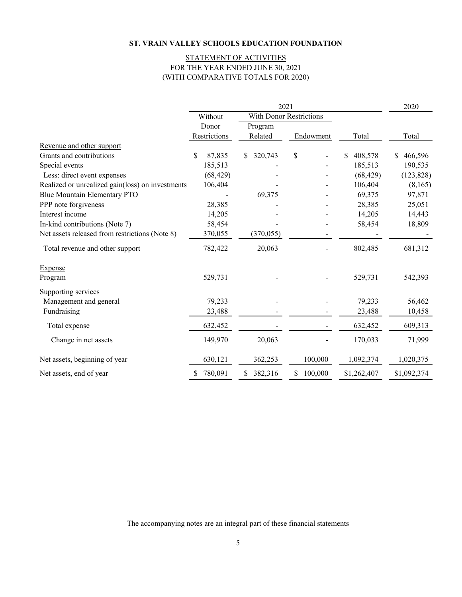## STATEMENT OF ACTIVITIES FOR THE YEAR ENDED JUNE 30, 2021 (WITH COMPARATIVE TOTALS FOR 2020)

|                                                  | 2021         |                                |               |               | 2020          |
|--------------------------------------------------|--------------|--------------------------------|---------------|---------------|---------------|
|                                                  | Without      | <b>With Donor Restrictions</b> |               |               |               |
|                                                  | Donor        | Program                        |               |               |               |
|                                                  | Restrictions | Related                        | Endowment     | Total         | Total         |
| Revenue and other support                        |              |                                |               |               |               |
| Grants and contributions                         | 87,835<br>\$ | 320,743<br>\$                  | \$            | \$<br>408,578 | 466,596<br>\$ |
| Special events                                   | 185,513      |                                |               | 185,513       | 190,535       |
| Less: direct event expenses                      | (68, 429)    |                                |               | (68, 429)     | (123, 828)    |
| Realized or unrealized gain(loss) on investments | 106,404      |                                |               | 106,404       | (8,165)       |
| Blue Mountain Elementary PTO                     |              | 69,375                         |               | 69,375        | 97,871        |
| PPP note forgiveness                             | 28,385       |                                |               | 28,385        | 25,051        |
| Interest income                                  | 14,205       |                                |               | 14,205        | 14,443        |
| In-kind contributions (Note 7)                   | 58,454       |                                |               | 58,454        | 18,809        |
| Net assets released from restrictions (Note 8)   | 370,055      | (370, 055)                     |               |               |               |
| Total revenue and other support                  | 782,422      | 20,063                         |               | 802,485       | 681,312       |
| Expense                                          |              |                                |               |               |               |
| Program                                          | 529,731      |                                |               | 529,731       | 542,393       |
| Supporting services                              |              |                                |               |               |               |
| Management and general                           | 79,233       |                                |               | 79,233        | 56,462        |
| Fundraising                                      | 23,488       |                                |               | 23,488        | 10,458        |
| Total expense                                    | 632,452      |                                |               | 632,452       | 609,313       |
| Change in net assets                             | 149,970      | 20,063                         |               | 170,033       | 71,999        |
| Net assets, beginning of year                    | 630,121      | 362,253                        | 100,000       | 1,092,374     | 1,020,375     |
| Net assets, end of year                          | 780,091<br>S | 382,316<br>\$                  | 100,000<br>\$ | \$1,262,407   | \$1,092,374   |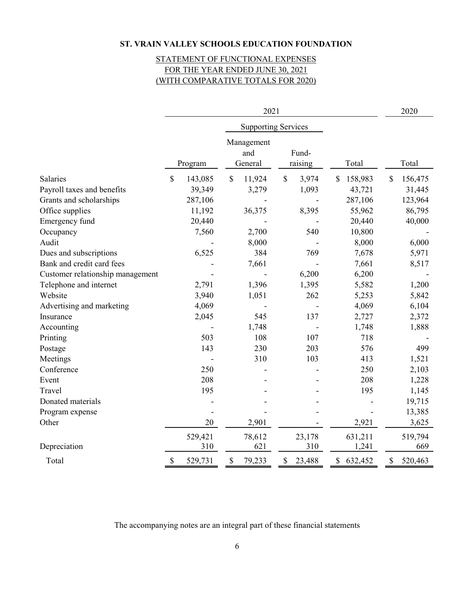## (WITH COMPARATIVE TOTALS FOR 2020) STATEMENT OF FUNCTIONAL EXPENSES FOR THE YEAR ENDED JUNE 30, 2021

|                                  | 2021                       |         |    |                              | 2020          |                  |               |               |
|----------------------------------|----------------------------|---------|----|------------------------------|---------------|------------------|---------------|---------------|
|                                  | <b>Supporting Services</b> |         |    |                              |               |                  |               |               |
|                                  |                            | Program |    | Management<br>and<br>General |               | Fund-<br>raising | Total         | Total         |
| Salaries                         | \$                         | 143,085 | \$ | 11,924                       | $\mathcal{S}$ | 3,974            | \$<br>158,983 | \$<br>156,475 |
| Payroll taxes and benefits       |                            | 39,349  |    | 3,279                        |               | 1,093            | 43,721        | 31,445        |
| Grants and scholarships          |                            | 287,106 |    |                              |               |                  | 287,106       | 123,964       |
| Office supplies                  |                            | 11,192  |    | 36,375                       |               | 8,395            | 55,962        | 86,795        |
| Emergency fund                   |                            | 20,440  |    |                              |               |                  | 20,440        | 40,000        |
| Occupancy                        |                            | 7,560   |    | 2,700                        |               | 540              | 10,800        |               |
| Audit                            |                            |         |    | 8,000                        |               |                  | 8,000         | 6,000         |
| Dues and subscriptions           |                            | 6,525   |    | 384                          |               | 769              | 7,678         | 5,971         |
| Bank and credit card fees        |                            |         |    | 7,661                        |               |                  | 7,661         | 8,517         |
| Customer relationship management |                            |         |    |                              |               | 6,200            | 6,200         |               |
| Telephone and internet           |                            | 2,791   |    | 1,396                        |               | 1,395            | 5,582         | 1,200         |
| Website                          |                            | 3,940   |    | 1,051                        |               | 262              | 5,253         | 5,842         |
| Advertising and marketing        |                            | 4,069   |    |                              |               |                  | 4,069         | 6,104         |
| Insurance                        |                            | 2,045   |    | 545                          |               | 137              | 2,727         | 2,372         |
| Accounting                       |                            |         |    | 1,748                        |               |                  | 1,748         | 1,888         |
| Printing                         |                            | 503     |    | 108                          |               | 107              | 718           |               |
| Postage                          |                            | 143     |    | 230                          |               | 203              | 576           | 499           |
| Meetings                         |                            |         |    | 310                          |               | 103              | 413           | 1,521         |
| Conference                       |                            | 250     |    |                              |               |                  | 250           | 2,103         |
| Event                            |                            | 208     |    |                              |               |                  | 208           | 1,228         |
| Travel                           |                            | 195     |    |                              |               |                  | 195           | 1,145         |
| Donated materials                |                            |         |    |                              |               |                  |               | 19,715        |
| Program expense                  |                            |         |    |                              |               |                  |               | 13,385        |
| Other                            |                            | 20      |    | 2,901                        |               |                  | 2,921         | 3,625         |
|                                  |                            | 529,421 |    | 78,612                       |               | 23,178           | 631,211       | 519,794       |
| Depreciation                     |                            | 310     |    | 621                          |               | 310              | 1,241         | 669           |
| Total                            | \$                         | 529,731 | \$ | 79,233                       | \$            | 23,488           | \$<br>632,452 | \$<br>520,463 |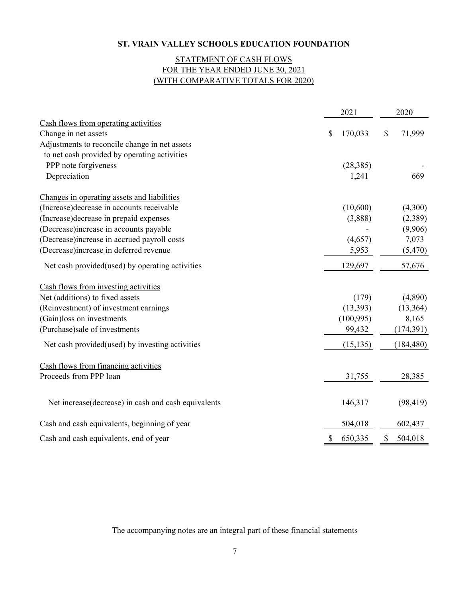## (WITH COMPARATIVE TOTALS FOR 2020) STATEMENT OF CASH FLOWS FOR THE YEAR ENDED JUNE 30, 2021

|                                                      | 2021                     | 2020          |
|------------------------------------------------------|--------------------------|---------------|
| Cash flows from operating activities                 |                          |               |
| Change in net assets                                 | 170,033<br>\$            | 71,999<br>\$  |
| Adjustments to reconcile change in net assets        |                          |               |
| to net cash provided by operating activities         |                          |               |
| PPP note forgiveness                                 | (28, 385)                |               |
| Depreciation                                         | 1,241                    | 669           |
| Changes in operating assets and liabilities          |                          |               |
| (Increase) decrease in accounts receivable           | (10,600)                 | (4,300)       |
| (Increase) decrease in prepaid expenses              | (3,888)                  | (2,389)       |
| (Decrease) increase in accounts payable              |                          | (9,906)       |
| (Decrease)increase in accrued payroll costs          | (4,657)                  | 7,073         |
| (Decrease) increase in deferred revenue              | 5,953                    | (5, 470)      |
| Net cash provided (used) by operating activities     | 129,697                  | 57,676        |
| Cash flows from investing activities                 |                          |               |
| Net (additions) to fixed assets                      | (179)                    | (4,890)       |
| (Reinvestment) of investment earnings                | (13, 393)                | (13, 364)     |
| (Gain)loss on investments                            | (100, 995)               | 8,165         |
| (Purchase)sale of investments                        | 99,432                   | (174, 391)    |
| Net cash provided (used) by investing activities     | (15, 135)                | (184, 480)    |
| Cash flows from financing activities                 |                          |               |
| Proceeds from PPP loan                               | 31,755                   | 28,385        |
| Net increase (decrease) in cash and cash equivalents | 146,317                  | (98, 419)     |
| Cash and cash equivalents, beginning of year         | 504,018                  | 602,437       |
| Cash and cash equivalents, end of year               | 650,335<br><sup>\$</sup> | \$<br>504,018 |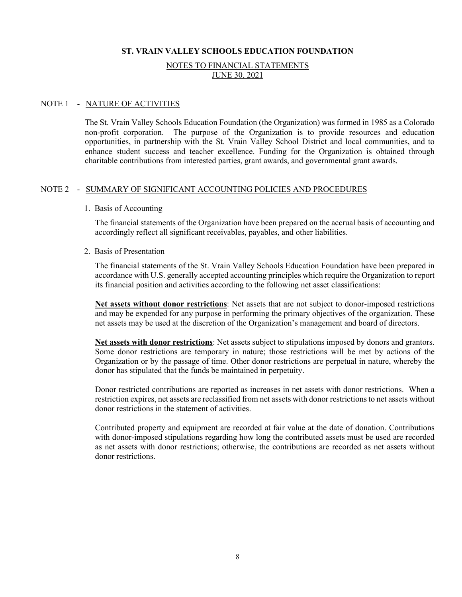#### NOTES TO FINANCIAL STATEMENTS JUNE 30, 2021

#### NOTE 1 - NATURE OF ACTIVITIES

The St. Vrain Valley Schools Education Foundation (the Organization) was formed in 1985 as a Colorado non-profit corporation. The purpose of the Organization is to provide resources and education opportunities, in partnership with the St. Vrain Valley School District and local communities, and to enhance student success and teacher excellence. Funding for the Organization is obtained through charitable contributions from interested parties, grant awards, and governmental grant awards.

#### NOTE 2 - SUMMARY OF SIGNIFICANT ACCOUNTING POLICIES AND PROCEDURES

1. Basis of Accounting

The financial statements of the Organization have been prepared on the accrual basis of accounting and accordingly reflect all significant receivables, payables, and other liabilities.

2. Basis of Presentation

The financial statements of the St. Vrain Valley Schools Education Foundation have been prepared in accordance with U.S. generally accepted accounting principles which require the Organization to report its financial position and activities according to the following net asset classifications:

**Net assets without donor restrictions**: Net assets that are not subject to donor-imposed restrictions and may be expended for any purpose in performing the primary objectives of the organization. These net assets may be used at the discretion of the Organization's management and board of directors.

**Net assets with donor restrictions**: Net assets subject to stipulations imposed by donors and grantors. Some donor restrictions are temporary in nature; those restrictions will be met by actions of the Organization or by the passage of time. Other donor restrictions are perpetual in nature, whereby the donor has stipulated that the funds be maintained in perpetuity.

Donor restricted contributions are reported as increases in net assets with donor restrictions. When a restriction expires, net assets are reclassified from net assets with donor restrictions to net assets without donor restrictions in the statement of activities.

Contributed property and equipment are recorded at fair value at the date of donation. Contributions with donor-imposed stipulations regarding how long the contributed assets must be used are recorded as net assets with donor restrictions; otherwise, the contributions are recorded as net assets without donor restrictions.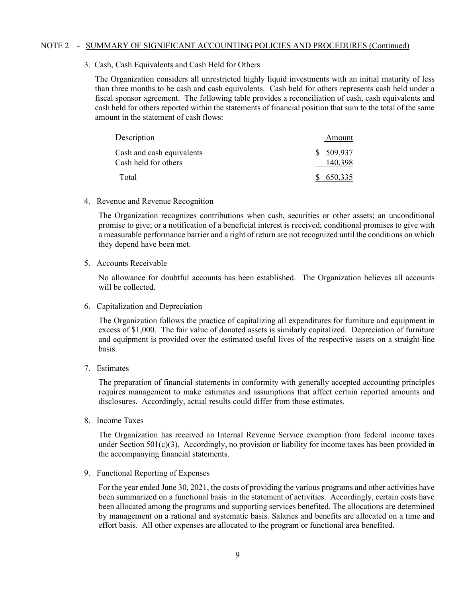#### NOTE 2 - SUMMARY OF SIGNIFICANT ACCOUNTING POLICIES AND PROCEDURES (Continued)

3. Cash, Cash Equivalents and Cash Held for Others

The Organization considers all unrestricted highly liquid investments with an initial maturity of less than three months to be cash and cash equivalents. Cash held for others represents cash held under a fiscal sponsor agreement. The following table provides a reconciliation of cash, cash equivalents and cash held for others reported within the statements of financial position that sum to the total of the same amount in the statement of cash flows:

| Description               | Amount    |
|---------------------------|-----------|
| Cash and cash equivalents | \$509,937 |
| Cash held for others      | 140.398   |
| Total                     | \$650,335 |

4. Revenue and Revenue Recognition

The Organization recognizes contributions when cash, securities or other assets; an unconditional promise to give; or a notification of a beneficial interest is received; conditional promises to give with a measurable performance barrier and a right of return are not recognized until the conditions on which they depend have been met.

5. Accounts Receivable

No allowance for doubtful accounts has been established. The Organization believes all accounts will be collected.

6. Capitalization and Depreciation

The Organization follows the practice of capitalizing all expenditures for furniture and equipment in excess of \$1,000. The fair value of donated assets is similarly capitalized. Depreciation of furniture and equipment is provided over the estimated useful lives of the respective assets on a straight-line basis.

7. Estimates

The preparation of financial statements in conformity with generally accepted accounting principles requires management to make estimates and assumptions that affect certain reported amounts and disclosures. Accordingly, actual results could differ from those estimates.

8. Income Taxes

The Organization has received an Internal Revenue Service exemption from federal income taxes under Section  $501(c)(3)$ . Accordingly, no provision or liability for income taxes has been provided in the accompanying financial statements.

9. Functional Reporting of Expenses

For the year ended June 30, 2021, the costs of providing the various programs and other activities have been summarized on a functional basis in the statement of activities. Accordingly, certain costs have been allocated among the programs and supporting services benefited. The allocations are determined by management on a rational and systematic basis. Salaries and benefits are allocated on a time and effort basis. All other expenses are allocated to the program or functional area benefited.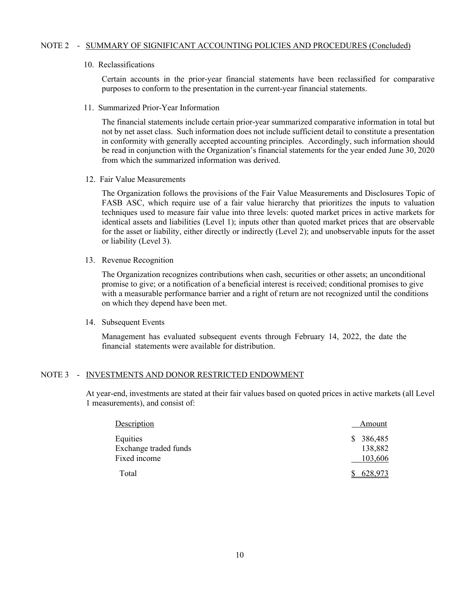### NOTE 2 - SUMMARY OF SIGNIFICANT ACCOUNTING POLICIES AND PROCEDURES (Concluded)

#### 10. Reclassifications

Certain accounts in the prior-year financial statements have been reclassified for comparative purposes to conform to the presentation in the current-year financial statements.

11. Summarized Prior-Year Information

The financial statements include certain prior-year summarized comparative information in total but not by net asset class. Such information does not include sufficient detail to constitute a presentation in conformity with generally accepted accounting principles. Accordingly, such information should be read in conjunction with the Organization's financial statements for the year ended June 30, 2020 from which the summarized information was derived.

12. Fair Value Measurements

The Organization follows the provisions of the Fair Value Measurements and Disclosures Topic of FASB ASC, which require use of a fair value hierarchy that prioritizes the inputs to valuation techniques used to measure fair value into three levels: quoted market prices in active markets for identical assets and liabilities (Level 1); inputs other than quoted market prices that are observable for the asset or liability, either directly or indirectly (Level 2); and unobservable inputs for the asset or liability (Level 3).

13. Revenue Recognition

The Organization recognizes contributions when cash, securities or other assets; an unconditional promise to give; or a notification of a beneficial interest is received; conditional promises to give with a measurable performance barrier and a right of return are not recognized until the conditions on which they depend have been met.

14. Subsequent Events

Management has evaluated subsequent events through February 14, 2022, the date the financial statements were available for distribution.

#### NOTE 3 - INVESTMENTS AND DONOR RESTRICTED ENDOWMENT

At year-end, investments are stated at their fair values based on quoted prices in active markets (all Level 1 measurements), and consist of:

| Description           | Amount    |
|-----------------------|-----------|
| Equities              | \$386,485 |
| Exchange traded funds | 138,882   |
| Fixed income          | 103,606   |
| Total                 | 628,973   |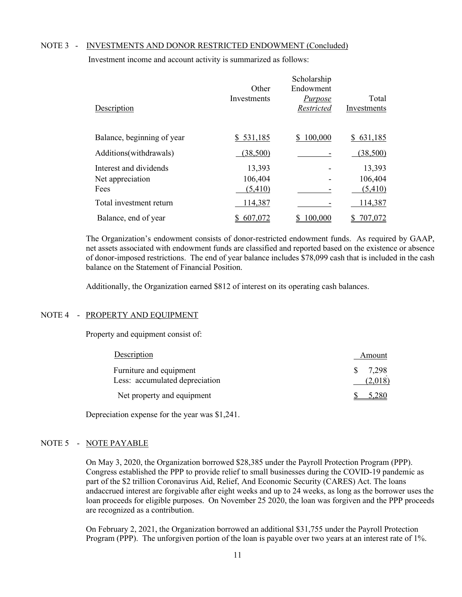#### NOTE 3 - INVESTMENTS AND DONOR RESTRICTED ENDOWMENT (Concluded)

| Description                                        | Other<br>Investments          | Scholarship<br>Endowment<br>Purpose<br>Restricted | Total<br>Investments          |
|----------------------------------------------------|-------------------------------|---------------------------------------------------|-------------------------------|
| Balance, beginning of year                         | \$531,185                     | 100,000                                           | 631,185<br>S.                 |
| Additions (withdrawals)                            | (38,500)                      |                                                   | (38,500)                      |
| Interest and dividends<br>Net appreciation<br>Fees | 13,393<br>106,404<br>(5, 410) |                                                   | 13,393<br>106,404<br>(5, 410) |
| Total investment return                            | 114,387                       |                                                   | 114,387                       |
| Balance, end of year                               | 607,072                       | 100,000                                           | 707,072                       |

Investment income and account activity is summarized as follows:

The Organization's endowment consists of donor-restricted endowment funds. As required by GAAP, net assets associated with endowment funds are classified and reported based on the existence or absence of donor-imposed restrictions. The end of year balance includes \$78,099 cash that is included in the cash balance on the Statement of Financial Position.

Additionally, the Organization earned \$812 of interest on its operating cash balances.

### NOTE 4 - PROPERTY AND EQUIPMENT

Property and equipment consist of:

| Description                    | Amount              |
|--------------------------------|---------------------|
| Furniture and equipment        | $\frac{1}{2}$ 7,298 |
| Less: accumulated depreciation | (2,018)             |
| Net property and equipment     | 5,280               |

Depreciation expense for the year was \$1,241.

### NOTE 5 - NOTE PAYABLE

On May 3, 2020, the Organization borrowed \$28,385 under the Payroll Protection Program (PPP). Congress established the PPP to provide relief to small businesses during the COVID-19 pandemic as part of the \$2 trillion Coronavirus Aid, Relief, And Economic Security (CARES) Act. The loans andaccrued interest are forgivable after eight weeks and up to 24 weeks, as long as the borrower uses the loan proceeds for eligible purposes. On November 25 2020, the loan was forgiven and the PPP proceeds are recognized as a contribution.

On February 2, 2021, the Organization borrowed an additional \$31,755 under the Payroll Protection Program (PPP). The unforgiven portion of the loan is payable over two years at an interest rate of 1%.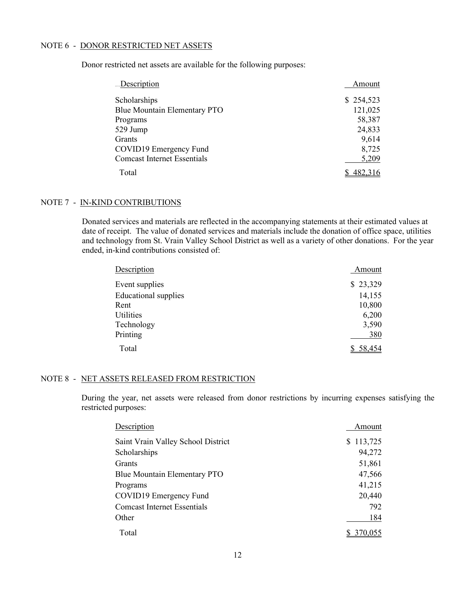### NOTE 6 - DONOR RESTRICTED NET ASSETS

Donor restricted net assets are available for the following purposes:

| <b>Description</b>                 | Amount    |
|------------------------------------|-----------|
| Scholarships                       | \$254,523 |
| Blue Mountain Elementary PTO       | 121,025   |
| Programs                           | 58,387    |
| 529 Jump                           | 24,833    |
| Grants                             | 9,614     |
| COVID19 Emergency Fund             | 8,725     |
| <b>Comcast Internet Essentials</b> | 5,209     |
| Total                              |           |

#### NOTE 7 - IN-KIND CONTRIBUTIONS

Donated services and materials are reflected in the accompanying statements at their estimated values at date of receipt. The value of donated services and materials include the donation of office space, utilities and technology from St. Vrain Valley School District as well as a variety of other donations. For the year ended, in-kind contributions consisted of:

| Description                 | Amount   |
|-----------------------------|----------|
| Event supplies              | \$23,329 |
| <b>Educational supplies</b> | 14,155   |
| Rent                        | 10,800   |
| Utilities                   | 6,200    |
| Technology                  | 3,590    |
| Printing                    | 380      |
| Total                       | 58,454   |

### NOTE 8 - NET ASSETS RELEASED FROM RESTRICTION

During the year, net assets were released from donor restrictions by incurring expenses satisfying the restricted purposes:

| Description                        | Amount    |
|------------------------------------|-----------|
| Saint Vrain Valley School District | \$113,725 |
| Scholarships                       | 94,272    |
| Grants                             | 51,861    |
| Blue Mountain Elementary PTO       | 47,566    |
| Programs                           | 41,215    |
| COVID19 Emergency Fund             | 20,440    |
| <b>Comcast Internet Essentials</b> | 792       |
| Other                              | 184       |
| Total                              |           |